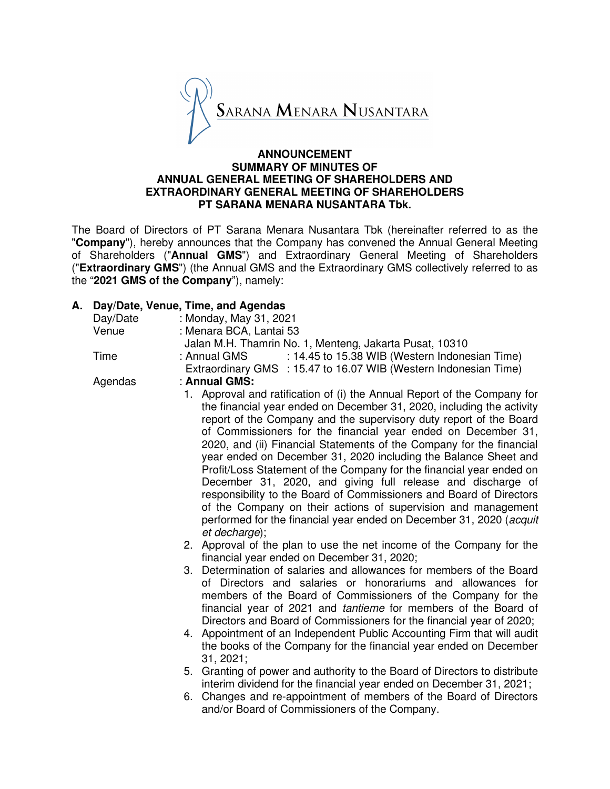

# **ANNOUNCEMENT SUMMARY OF MINUTES OF ANNUAL GENERAL MEETING OF SHAREHOLDERS AND EXTRAORDINARY GENERAL MEETING OF SHAREHOLDERS PT SARANA MENARA NUSANTARA Tbk.**

The Board of Directors of PT Sarana Menara Nusantara Tbk (hereinafter referred to as the "**Company**"), hereby announces that the Company has convened the Annual General Meeting of Shareholders ("**Annual GMS**") and Extraordinary General Meeting of Shareholders ("**Extraordinary GMS**") (the Annual GMS and the Extraordinary GMS collectively referred to as the "**2021 GMS of the Company**"), namely:

# **A. Day/Date, Venue, Time, and Agendas**

| Day/Date | : Monday, May 31, 2021                                                                                                                                                                                                                                                                                                                                                                                                                                                                                                                                                                                                                                                                                                                                                                                                                                                                                                                                                                                   |  |  |
|----------|----------------------------------------------------------------------------------------------------------------------------------------------------------------------------------------------------------------------------------------------------------------------------------------------------------------------------------------------------------------------------------------------------------------------------------------------------------------------------------------------------------------------------------------------------------------------------------------------------------------------------------------------------------------------------------------------------------------------------------------------------------------------------------------------------------------------------------------------------------------------------------------------------------------------------------------------------------------------------------------------------------|--|--|
| Venue    | : Menara BCA, Lantai 53<br>Jalan M.H. Thamrin No. 1, Menteng, Jakarta Pusat, 10310                                                                                                                                                                                                                                                                                                                                                                                                                                                                                                                                                                                                                                                                                                                                                                                                                                                                                                                       |  |  |
|          |                                                                                                                                                                                                                                                                                                                                                                                                                                                                                                                                                                                                                                                                                                                                                                                                                                                                                                                                                                                                          |  |  |
| Time     | : 14.45 to 15.38 WIB (Western Indonesian Time)<br>: Annual GMS                                                                                                                                                                                                                                                                                                                                                                                                                                                                                                                                                                                                                                                                                                                                                                                                                                                                                                                                           |  |  |
|          | Extraordinary GMS : 15.47 to 16.07 WIB (Western Indonesian Time)                                                                                                                                                                                                                                                                                                                                                                                                                                                                                                                                                                                                                                                                                                                                                                                                                                                                                                                                         |  |  |
| Agendas  | : Annual GMS:                                                                                                                                                                                                                                                                                                                                                                                                                                                                                                                                                                                                                                                                                                                                                                                                                                                                                                                                                                                            |  |  |
|          | 1. Approval and ratification of (i) the Annual Report of the Company for<br>the financial year ended on December 31, 2020, including the activity<br>report of the Company and the supervisory duty report of the Board<br>of Commissioners for the financial year ended on December 31,<br>2020, and (ii) Financial Statements of the Company for the financial<br>year ended on December 31, 2020 including the Balance Sheet and<br>Profit/Loss Statement of the Company for the financial year ended on<br>December 31, 2020, and giving full release and discharge of<br>responsibility to the Board of Commissioners and Board of Directors<br>of the Company on their actions of supervision and management<br>performed for the financial year ended on December 31, 2020 (acquit<br>et decharge);<br>2. Approval of the plan to use the net income of the Company for the<br>financial year ended on December 31, 2020;<br>3. Determination of salaries and allowances for members of the Board |  |  |
|          | of Directors and salaries or honorariums and allowances for<br>members of the Board of Commissioners of the Company for the<br>financial year of 2021 and <i>tantieme</i> for members of the Board of<br>Directors and Board of Commissioners for the financial year of 2020;<br>4. Appointment of an Independent Public Accounting Firm that will audit<br>the books of the Company for the financial year ended on December<br>31, 2021;<br>5. Granting of power and authority to the Board of Directors to distribute<br>interim dividend for the financial year ended on December 31, 2021;<br>6. Changes and re-appointment of members of the Board of Directors<br>and/or Board of Commissioners of the Company.                                                                                                                                                                                                                                                                                   |  |  |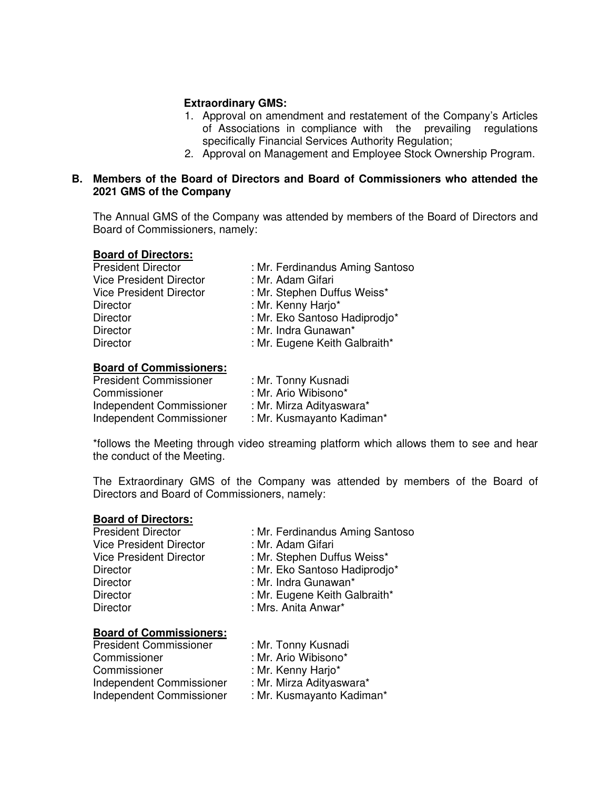# **Extraordinary GMS:**

- 1. Approval on amendment and restatement of the Company's Articles of Associations in compliance with the prevailing regulations specifically Financial Services Authority Regulation;
- 2. Approval on Management and Employee Stock Ownership Program.

# **B. Members of the Board of Directors and Board of Commissioners who attended the 2021 GMS of the Company**

The Annual GMS of the Company was attended by members of the Board of Directors and Board of Commissioners, namely:

#### **Board of Directors:**

| <b>President Director</b>      | : Mr. Ferdinandus Aming Santoso |
|--------------------------------|---------------------------------|
| <b>Vice President Director</b> | : Mr. Adam Gifari               |
| <b>Vice President Director</b> | : Mr. Stephen Duffus Weiss*     |
| <b>Director</b>                | : Mr. Kenny Harjo*              |
| <b>Director</b>                | : Mr. Eko Santoso Hadiprodjo*   |
| <b>Director</b>                | : Mr. Indra Gunawan*            |
| <b>Director</b>                | : Mr. Eugene Keith Galbraith*   |
|                                |                                 |

#### **Board of Commissioners:**

| <b>President Commissioner</b> | : Mr. Tonny Kusnadi       |
|-------------------------------|---------------------------|
| Commissioner                  | : Mr. Ario Wibisono*      |
| Independent Commissioner      | : Mr. Mirza Adityaswara*  |
| Independent Commissioner      | : Mr. Kusmayanto Kadiman* |
|                               |                           |

\*follows the Meeting through video streaming platform which allows them to see and hear the conduct of the Meeting.

The Extraordinary GMS of the Company was attended by members of the Board of Directors and Board of Commissioners, namely:

#### **Board of Directors:**

| <b>President Director</b>      | : Mr. Ferdinandus Aming Santoso |
|--------------------------------|---------------------------------|
| <b>Vice President Director</b> | : Mr. Adam Gifari               |
| <b>Vice President Director</b> | : Mr. Stephen Duffus Weiss*     |
| <b>Director</b>                | : Mr. Eko Santoso Hadiprodio*   |
| <b>Director</b>                | : Mr. Indra Gunawan*            |
| <b>Director</b>                | : Mr. Eugene Keith Galbraith*   |
| <b>Director</b>                | : Mrs. Anita Anwar*             |
|                                |                                 |

# **Board of Commissioners:**

| <b>President Commissioner</b> | : Mr. Tonny Kusnadi       |
|-------------------------------|---------------------------|
| Commissioner                  | : Mr. Ario Wibisono*      |
| Commissioner                  | : Mr. Kenny Harjo*        |
| Independent Commissioner      | : Mr. Mirza Adityaswara*  |
| Independent Commissioner      | : Mr. Kusmayanto Kadiman* |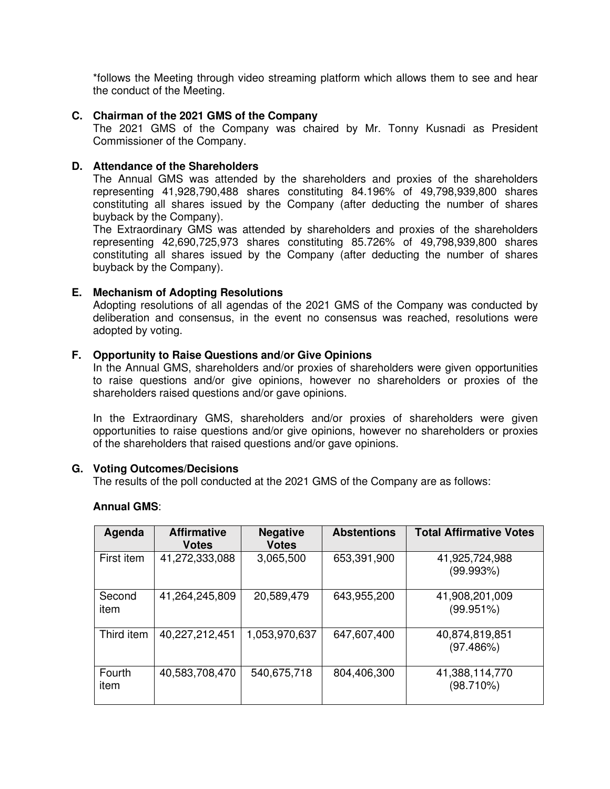\*follows the Meeting through video streaming platform which allows them to see and hear the conduct of the Meeting.

### **C. Chairman of the 2021 GMS of the Company**

The 2021 GMS of the Company was chaired by Mr. Tonny Kusnadi as President Commissioner of the Company.

# **D. Attendance of the Shareholders**

The Annual GMS was attended by the shareholders and proxies of the shareholders representing 41,928,790,488 shares constituting 84.196% of 49,798,939,800 shares constituting all shares issued by the Company (after deducting the number of shares buyback by the Company).

The Extraordinary GMS was attended by shareholders and proxies of the shareholders representing 42,690,725,973 shares constituting 85.726% of 49,798,939,800 shares constituting all shares issued by the Company (after deducting the number of shares buyback by the Company).

# **E. Mechanism of Adopting Resolutions**

Adopting resolutions of all agendas of the 2021 GMS of the Company was conducted by deliberation and consensus, in the event no consensus was reached, resolutions were adopted by voting.

# **F. Opportunity to Raise Questions and/or Give Opinions**

In the Annual GMS, shareholders and/or proxies of shareholders were given opportunities to raise questions and/or give opinions, however no shareholders or proxies of the shareholders raised questions and/or gave opinions.

In the Extraordinary GMS, shareholders and/or proxies of shareholders were given opportunities to raise questions and/or give opinions, however no shareholders or proxies of the shareholders that raised questions and/or gave opinions.

#### **G. Voting Outcomes/Decisions**

The results of the poll conducted at the 2021 GMS of the Company are as follows:

| Agenda         | <b>Affirmative</b><br><b>Votes</b> | <b>Negative</b><br><b>Votes</b> | <b>Abstentions</b> | <b>Total Affirmative Votes</b> |
|----------------|------------------------------------|---------------------------------|--------------------|--------------------------------|
| First item     | 41,272,333,088                     | 3,065,500                       | 653,391,900        | 41,925,724,988<br>(99.993%)    |
| Second<br>item | 41,264,245,809                     | 20,589,479                      | 643,955,200        | 41,908,201,009<br>(99.951%)    |
| Third item     | 40,227,212,451                     | 1,053,970,637                   | 647,607,400        | 40,874,819,851<br>(97.486%)    |
| Fourth<br>item | 40,583,708,470                     | 540,675,718                     | 804,406,300        | 41,388,114,770<br>(98.710%)    |

#### **Annual GMS**: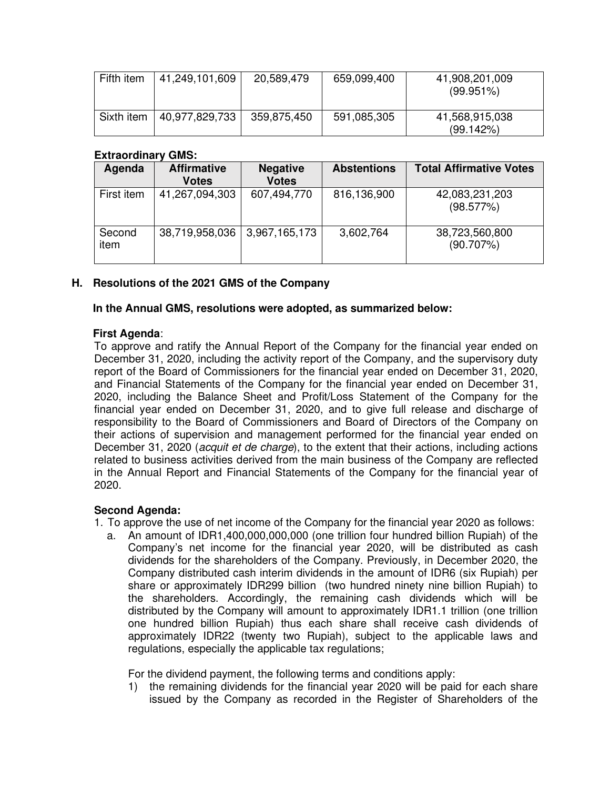| Fifth item | 41,249,101,609 | 20,589,479  | 659,099,400 | 41,908,201,009<br>$(99.951\%)$ |
|------------|----------------|-------------|-------------|--------------------------------|
| Sixth item | 40,977,829,733 | 359,875,450 | 591,085,305 | 41,568,915,038<br>(99.142%)    |

# **Extraordinary GMS:**

| Agenda         | <b>Affirmative</b><br><b>Votes</b> | <b>Negative</b><br><b>Votes</b> | <b>Abstentions</b> | <b>Total Affirmative Votes</b> |
|----------------|------------------------------------|---------------------------------|--------------------|--------------------------------|
| First item     | 41,267,094,303                     | 607,494,770                     | 816,136,900        | 42,083,231,203<br>(98.577%)    |
| Second<br>item | 38,719,958,036                     | 3,967,165,173                   | 3,602,764          | 38,723,560,800<br>(90.707%)    |

# **H. Resolutions of the 2021 GMS of the Company**

**In the Annual GMS, resolutions were adopted, as summarized below:** 

# **First Agenda**:

To approve and ratify the Annual Report of the Company for the financial year ended on December 31, 2020, including the activity report of the Company, and the supervisory duty report of the Board of Commissioners for the financial year ended on December 31, 2020, and Financial Statements of the Company for the financial year ended on December 31, 2020, including the Balance Sheet and Profit/Loss Statement of the Company for the financial year ended on December 31, 2020, and to give full release and discharge of responsibility to the Board of Commissioners and Board of Directors of the Company on their actions of supervision and management performed for the financial year ended on December 31, 2020 (*acquit et de charge*), to the extent that their actions, including actions related to business activities derived from the main business of the Company are reflected in the Annual Report and Financial Statements of the Company for the financial year of 2020.

# **Second Agenda:**

- 1. To approve the use of net income of the Company for the financial year 2020 as follows:
	- a. An amount of IDR1,400,000,000,000 (one trillion four hundred billion Rupiah) of the Company's net income for the financial year 2020, will be distributed as cash dividends for the shareholders of the Company. Previously, in December 2020, the Company distributed cash interim dividends in the amount of IDR6 (six Rupiah) per share or approximately IDR299 billion (two hundred ninety nine billion Rupiah) to the shareholders. Accordingly, the remaining cash dividends which will be distributed by the Company will amount to approximately IDR1.1 trillion (one trillion one hundred billion Rupiah) thus each share shall receive cash dividends of approximately IDR22 (twenty two Rupiah), subject to the applicable laws and regulations, especially the applicable tax regulations;

For the dividend payment, the following terms and conditions apply:

1) the remaining dividends for the financial year 2020 will be paid for each share issued by the Company as recorded in the Register of Shareholders of the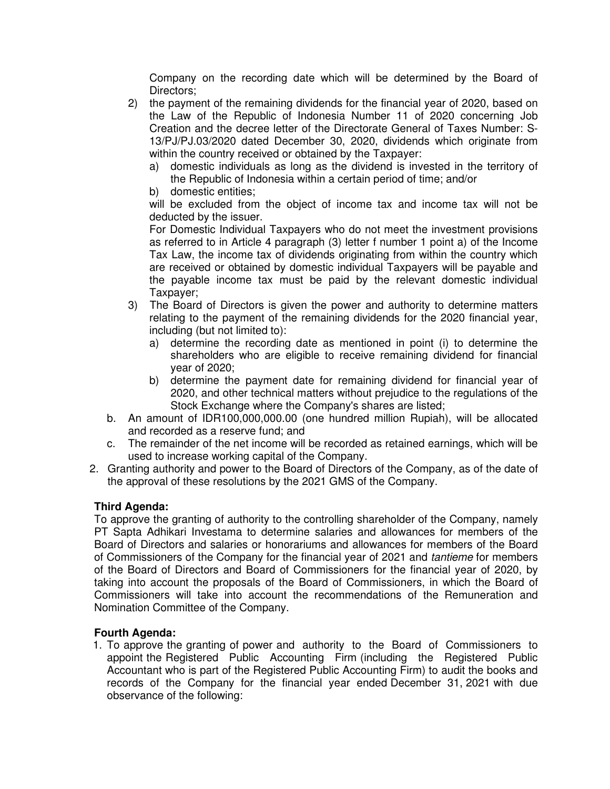Company on the recording date which will be determined by the Board of Directors;

- 2) the payment of the remaining dividends for the financial year of 2020, based on the Law of the Republic of Indonesia Number 11 of 2020 concerning Job Creation and the decree letter of the Directorate General of Taxes Number: S-13/PJ/PJ.03/2020 dated December 30, 2020, dividends which originate from within the country received or obtained by the Taxpayer:
	- a) domestic individuals as long as the dividend is invested in the territory of the Republic of Indonesia within a certain period of time; and/or
	- b) domestic entities;

will be excluded from the object of income tax and income tax will not be deducted by the issuer.

For Domestic Individual Taxpayers who do not meet the investment provisions as referred to in Article 4 paragraph (3) letter f number 1 point a) of the Income Tax Law, the income tax of dividends originating from within the country which are received or obtained by domestic individual Taxpayers will be payable and the payable income tax must be paid by the relevant domestic individual Taxpayer;

- 3) The Board of Directors is given the power and authority to determine matters relating to the payment of the remaining dividends for the 2020 financial year, including (but not limited to):
	- a) determine the recording date as mentioned in point (i) to determine the shareholders who are eligible to receive remaining dividend for financial year of 2020;
	- b) determine the payment date for remaining dividend for financial year of 2020, and other technical matters without prejudice to the regulations of the Stock Exchange where the Company's shares are listed;
- b. An amount of IDR100,000,000.00 (one hundred million Rupiah), will be allocated and recorded as a reserve fund; and
- c. The remainder of the net income will be recorded as retained earnings, which will be used to increase working capital of the Company.
- 2. Granting authority and power to the Board of Directors of the Company, as of the date of the approval of these resolutions by the 2021 GMS of the Company.

# **Third Agenda:**

To approve the granting of authority to the controlling shareholder of the Company, namely PT Sapta Adhikari Investama to determine salaries and allowances for members of the Board of Directors and salaries or honorariums and allowances for members of the Board of Commissioners of the Company for the financial year of 2021 and tantieme for members of the Board of Directors and Board of Commissioners for the financial year of 2020, by taking into account the proposals of the Board of Commissioners, in which the Board of Commissioners will take into account the recommendations of the Remuneration and Nomination Committee of the Company.

# **Fourth Agenda:**

1. To approve the granting of power and authority to the Board of Commissioners to appoint the Registered Public Accounting Firm (including the Registered Public Accountant who is part of the Registered Public Accounting Firm) to audit the books and records of the Company for the financial year ended December 31, 2021 with due observance of the following: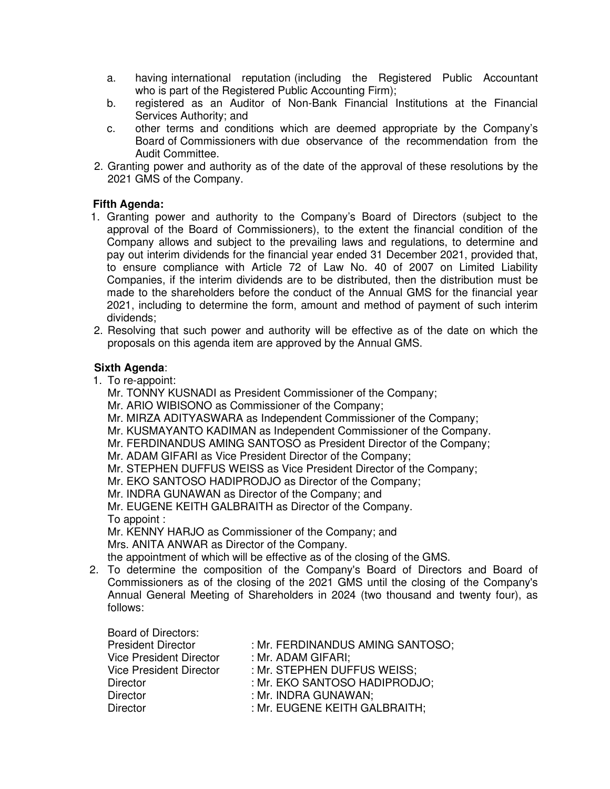- a. having international reputation (including the Registered Public Accountant who is part of the Registered Public Accounting Firm);
- b. registered as an Auditor of Non-Bank Financial Institutions at the Financial Services Authority; and
- c. other terms and conditions which are deemed appropriate by the Company's Board of Commissioners with due observance of the recommendation from the Audit Committee.
- 2. Granting power and authority as of the date of the approval of these resolutions by the 2021 GMS of the Company.

# **Fifth Agenda:**

- 1. Granting power and authority to the Company's Board of Directors (subject to the approval of the Board of Commissioners), to the extent the financial condition of the Company allows and subject to the prevailing laws and regulations, to determine and pay out interim dividends for the financial year ended 31 December 2021, provided that, to ensure compliance with Article 72 of Law No. 40 of 2007 on Limited Liability Companies, if the interim dividends are to be distributed, then the distribution must be made to the shareholders before the conduct of the Annual GMS for the financial year 2021, including to determine the form, amount and method of payment of such interim dividends;
- 2. Resolving that such power and authority will be effective as of the date on which the proposals on this agenda item are approved by the Annual GMS.

# **Sixth Agenda**:

1. To re-appoint:

Mr. TONNY KUSNADI as President Commissioner of the Company;

- Mr. ARIO WIBISONO as Commissioner of the Company;
- Mr. MIRZA ADITYASWARA as Independent Commissioner of the Company;
- Mr. KUSMAYANTO KADIMAN as Independent Commissioner of the Company.
- Mr. FERDINANDUS AMING SANTOSO as President Director of the Company;
- Mr. ADAM GIFARI as Vice President Director of the Company;
- Mr. STEPHEN DUFFUS WEISS as Vice President Director of the Company;

Mr. EKO SANTOSO HADIPRODJO as Director of the Company;

Mr. INDRA GUNAWAN as Director of the Company; and

Mr. EUGENE KEITH GALBRAITH as Director of the Company. To appoint :

Mr. KENNY HARJO as Commissioner of the Company; and Mrs. ANITA ANWAR as Director of the Company.

the appointment of which will be effective as of the closing of the GMS.

2. To determine the composition of the Company's Board of Directors and Board of Commissioners as of the closing of the 2021 GMS until the closing of the Company's Annual General Meeting of Shareholders in 2024 (two thousand and twenty four), as follows:

Board of Directors:

| <b>President Director</b>      | : Mr. FERDINANDUS AMING SANTOSO; |
|--------------------------------|----------------------------------|
| <b>Vice President Director</b> | : Mr. ADAM GIFARI:               |
| Vice President Director        | : Mr. STEPHEN DUFFUS WEISS;      |
| Director                       | : Mr. EKO SANTOSO HADIPRODJO:    |
| Director                       | : Mr. INDRA GUNAWAN;             |
| Director                       | : Mr. EUGENE KEITH GALBRAITH;    |
|                                |                                  |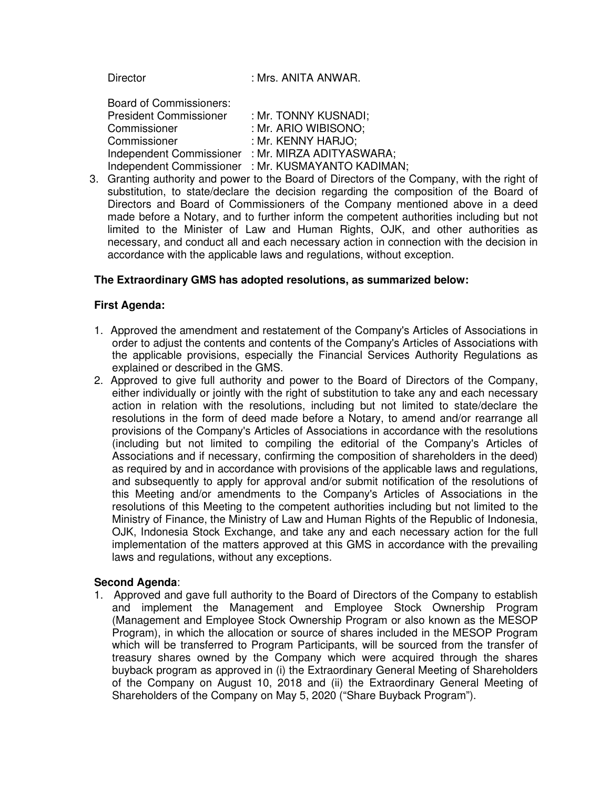| <b>Director</b>                                                                                 | : Mrs. ANITA ANWAR.                                                                                                     |
|-------------------------------------------------------------------------------------------------|-------------------------------------------------------------------------------------------------------------------------|
| <b>Board of Commissioners:</b><br><b>President Commissioner</b><br>Commissioner<br>Commissioner | : Mr. TONNY KUSNADI:<br>: Mr. ARIO WIBISONO;<br>: Mr. KENNY HARJO;<br>Independent Commissioner : Mr. MIRZA ADITYASWARA; |
|                                                                                                 | Independent Commissioner : Mr. KUSMAYANTO KADIMAN;                                                                      |

3. Granting authority and power to the Board of Directors of the Company, with the right of substitution, to state/declare the decision regarding the composition of the Board of Directors and Board of Commissioners of the Company mentioned above in a deed made before a Notary, and to further inform the competent authorities including but not limited to the Minister of Law and Human Rights, OJK, and other authorities as necessary, and conduct all and each necessary action in connection with the decision in accordance with the applicable laws and regulations, without exception.

# **The Extraordinary GMS has adopted resolutions, as summarized below:**

# **First Agenda:**

- 1. Approved the amendment and restatement of the Company's Articles of Associations in order to adjust the contents and contents of the Company's Articles of Associations with the applicable provisions, especially the Financial Services Authority Regulations as explained or described in the GMS.
- 2. Approved to give full authority and power to the Board of Directors of the Company, either individually or jointly with the right of substitution to take any and each necessary action in relation with the resolutions, including but not limited to state/declare the resolutions in the form of deed made before a Notary, to amend and/or rearrange all provisions of the Company's Articles of Associations in accordance with the resolutions (including but not limited to compiling the editorial of the Company's Articles of Associations and if necessary, confirming the composition of shareholders in the deed) as required by and in accordance with provisions of the applicable laws and regulations, and subsequently to apply for approval and/or submit notification of the resolutions of this Meeting and/or amendments to the Company's Articles of Associations in the resolutions of this Meeting to the competent authorities including but not limited to the Ministry of Finance, the Ministry of Law and Human Rights of the Republic of Indonesia, OJK, Indonesia Stock Exchange, and take any and each necessary action for the full implementation of the matters approved at this GMS in accordance with the prevailing laws and regulations, without any exceptions.

# **Second Agenda**:

1. Approved and gave full authority to the Board of Directors of the Company to establish and implement the Management and Employee Stock Ownership Program (Management and Employee Stock Ownership Program or also known as the MESOP Program), in which the allocation or source of shares included in the MESOP Program which will be transferred to Program Participants, will be sourced from the transfer of treasury shares owned by the Company which were acquired through the shares buyback program as approved in (i) the Extraordinary General Meeting of Shareholders of the Company on August 10, 2018 and (ii) the Extraordinary General Meeting of Shareholders of the Company on May 5, 2020 ("Share Buyback Program").